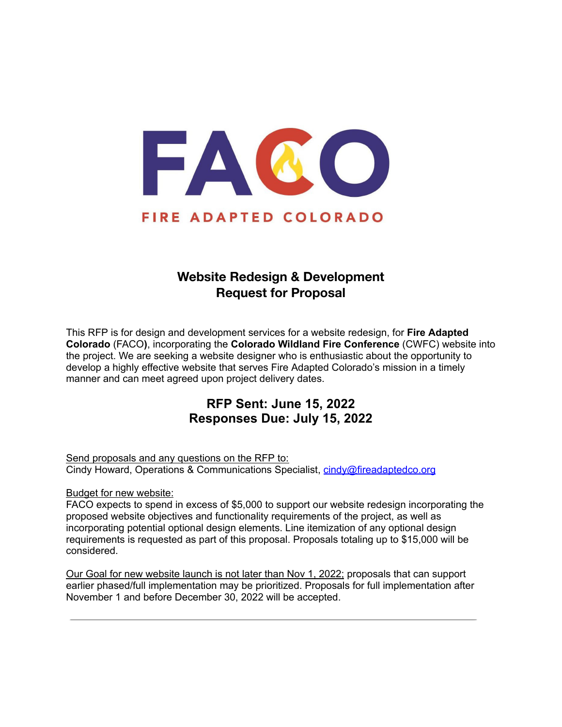

# **Website Redesign & Development Request for Proposal**

This RFP is for design and development services for a website redesign, for **Fire Adapted Colorado** (FACO**)**, incorporating the **Colorado Wildland Fire Conference** (CWFC) website into the project. We are seeking a website designer who is enthusiastic about the opportunity to develop a highly effective website that serves Fire Adapted Colorado's mission in a timely manner and can meet agreed upon project delivery dates.

## **RFP Sent: June 15, 2022 Responses Due: July 15, 2022**

Send proposals and any questions on the RFP to: Cindy Howard, Operations & Communications Specialist, [cindy@fireadaptedco.org](mailto:cindy@fireadaptedco.org)

Budget for new website:

FACO expects to spend in excess of \$5,000 to support our website redesign incorporating the proposed website objectives and functionality requirements of the project, as well as incorporating potential optional design elements. Line itemization of any optional design requirements is requested as part of this proposal. Proposals totaling up to \$15,000 will be considered.

Our Goal for new website launch is not later than Nov 1, 2022; proposals that can support earlier phased/full implementation may be prioritized. Proposals for full implementation after November 1 and before December 30, 2022 will be accepted.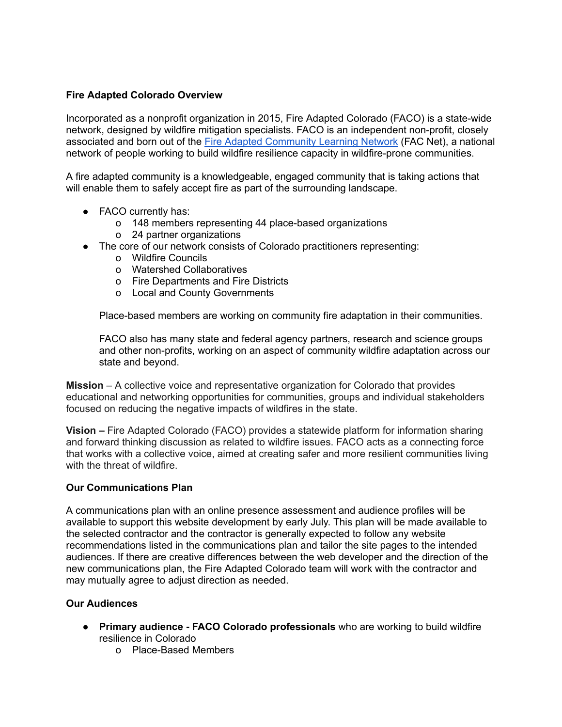## **Fire Adapted Colorado Overview**

Incorporated as a nonprofit organization in 2015, Fire Adapted Colorado (FACO) is a state-wide network, designed by wildfire mitigation specialists. FACO is an independent non-profit, closely associated and born out of the Fire Adapted [Community](https://fireadaptednetwork.org/) Learning Network (FAC Net), a national network of people working to build wildfire resilience capacity in wildfire-prone communities.

A fire adapted community is a knowledgeable, engaged community that is taking actions that will enable them to safely accept fire as part of the surrounding landscape.

- FACO currently has:
	- o 148 members representing 44 place-based organizations
	- o 24 partner organizations
- The core of our network consists of Colorado practitioners representing:
	- o Wildfire Councils
	- o Watershed Collaboratives
	- o Fire Departments and Fire Districts
	- o Local and County Governments

Place-based members are working on community fire adaptation in their communities.

FACO also has many state and federal agency partners, research and science groups and other non-profits, working on an aspect of community wildfire adaptation across our state and beyond.

**Mission** – A collective voice and representative organization for Colorado that provides educational and networking opportunities for communities, groups and individual stakeholders focused on reducing the negative impacts of wildfires in the state.

**Vision –** Fire Adapted Colorado (FACO) provides a statewide platform for information sharing and forward thinking discussion as related to wildfire issues. FACO acts as a connecting force that works with a collective voice, aimed at creating safer and more resilient communities living with the threat of wildfire.

#### **Our Communications Plan**

A communications plan with an online presence assessment and audience profiles will be available to support this website development by early July. This plan will be made available to the selected contractor and the contractor is generally expected to follow any website recommendations listed in the communications plan and tailor the site pages to the intended audiences. If there are creative differences between the web developer and the direction of the new communications plan, the Fire Adapted Colorado team will work with the contractor and may mutually agree to adjust direction as needed.

## **Our Audiences**

- **Primary audience - FACO Colorado professionals** who are working to build wildfire resilience in Colorado
	- o Place-Based Members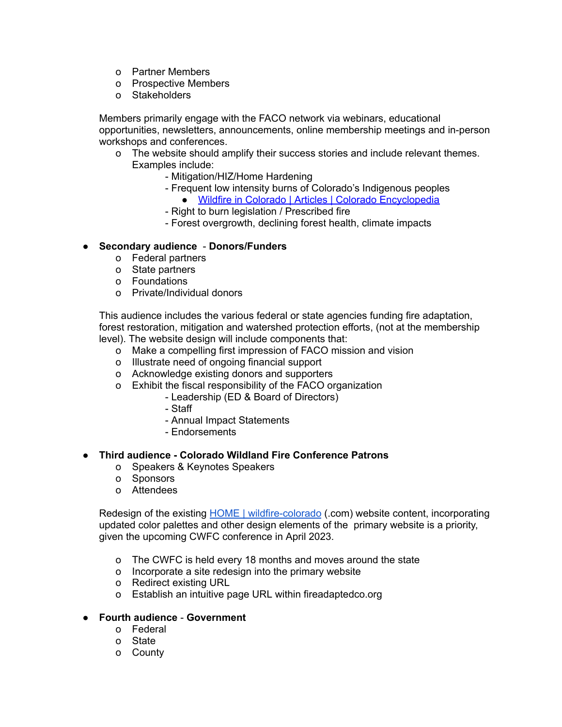- o Partner Members
- o Prospective Members
- o Stakeholders

Members primarily engage with the FACO network via webinars, educational opportunities, newsletters, announcements, online membership meetings and in-person workshops and conferences.

- o The website should amplify their success stories and include relevant themes. Examples include:
	- Mitigation/HIZ/Home Hardening
	- Frequent low intensity burns of Colorado's Indigenous peoples
		- Wildfire in Colorado | Articles | Colorado [Encyclopedia](https://coloradoencyclopedia.org/article/wildfire-colorado)
	- Right to burn legislation / Prescribed fire
	- Forest overgrowth, declining forest health, climate impacts

#### ● **Secondary audience** - **Donors/Funders**

- o Federal partners
- o State partners
- o Foundations
- o Private/Individual donors

This audience includes the various federal or state agencies funding fire adaptation, forest restoration, mitigation and watershed protection efforts, (not at the membership

- level). The website design will include components that:
	- o Make a compelling first impression of FACO mission and vision
	- o Illustrate need of ongoing financial support
	- o Acknowledge existing donors and supporters
	- o Exhibit the fiscal responsibility of the FACO organization
		- Leadership (ED & Board of Directors)
		- Staff
		- Annual Impact Statements
		- Endorsements

#### ● **Third audience - Colorado Wildland Fire Conference Patrons**

- o Speakers & Keynotes Speakers
- o Sponsors
- o Attendees

Redesign of the existing HOME | [wildfire-colorado](https://www.wildfire-colorado.com/) (.com) website content, incorporating updated color palettes and other design elements of the primary website is a priority, given the upcoming CWFC conference in April 2023.

- o The CWFC is held every 18 months and moves around the state
- o Incorporate a site redesign into the primary website
- o Redirect existing URL
- o Establish an intuitive page URL within fireadaptedco.org

#### ● **Fourth audience** - **Government**

- o Federal
- o State
- o County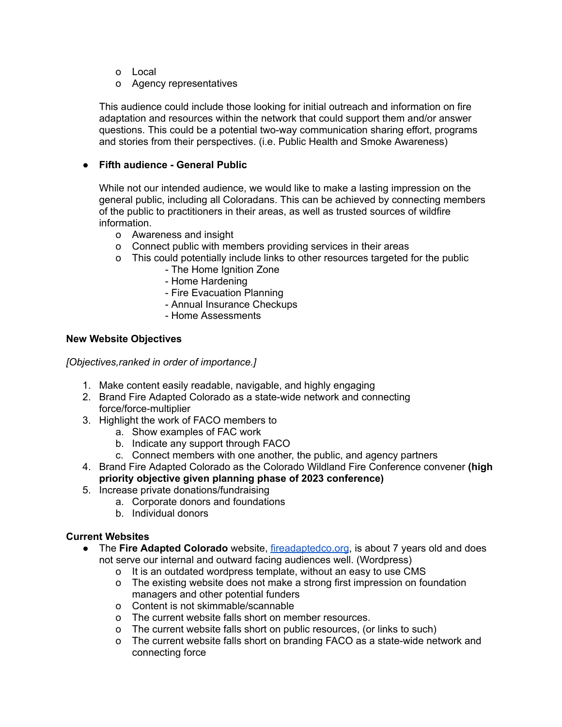- o Local
- o Agency representatives

This audience could include those looking for initial outreach and information on fire adaptation and resources within the network that could support them and/or answer questions. This could be a potential two-way communication sharing effort, programs and stories from their perspectives. (i.e. Public Health and Smoke Awareness)

## ● **Fifth audience - General Public**

While not our intended audience, we would like to make a lasting impression on the general public, including all Coloradans. This can be achieved by connecting members of the public to practitioners in their areas, as well as trusted sources of wildfire information.

- o Awareness and insight
- o Connect public with members providing services in their areas
- o This could potentially include links to other resources targeted for the public
	- The Home Ignition Zone
		- Home Hardening
	- Fire Evacuation Planning
	- Annual Insurance Checkups
	- Home Assessments

## **New Website Objectives**

*[Objectives,ranked in order of importance.]*

- 1. Make content easily readable, navigable, and highly engaging
- 2. Brand Fire Adapted Colorado as a state-wide network and connecting force/force-multiplier
- 3. Highlight the work of FACO members to
	- a. Show examples of FAC work
	- b. Indicate any support through FACO
	- c. Connect members with one another, the public, and agency partners
- 4. Brand Fire Adapted Colorado as the Colorado Wildland Fire Conference convener **(high priority objective given planning phase of 2023 conference)**
- 5. Increase private donations/fundraising
	- a. Corporate donors and foundations
	- b. Individual donors

## **Current Websites**

- The **Fire Adapted Colorado** website, [fireadaptedco.org](https://fireadaptedco.org/), is about 7 years old and does not serve our internal and outward facing audiences well. (Wordpress)
	- o It is an outdated wordpress template, without an easy to use CMS
	- o The existing website does not make a strong first impression on foundation managers and other potential funders
	- o Content is not skimmable/scannable
	- o The current website falls short on member resources.
	- o The current website falls short on public resources, (or links to such)
	- o The current website falls short on branding FACO as a state-wide network and connecting force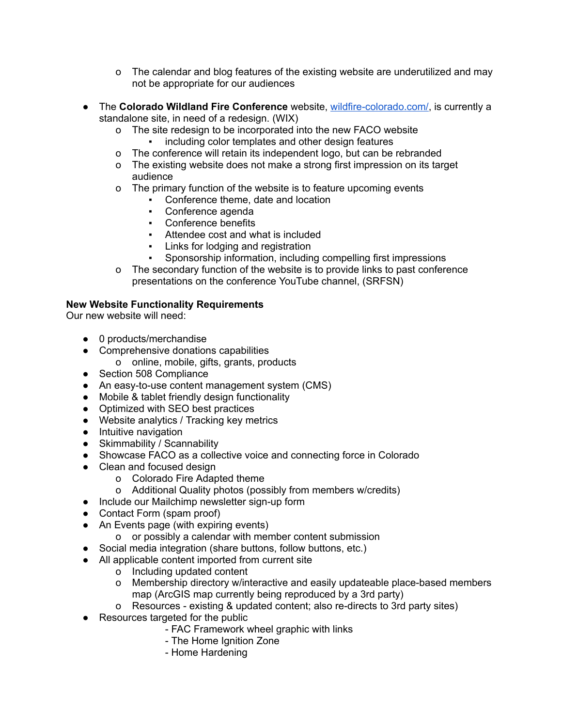- o The calendar and blog features of the existing website are underutilized and may not be appropriate for our audiences
- The **Colorado Wildland Fire Conference** website, [wildfire-colorado.com/](https://www.wildfire-colorado.com/), is currently a standalone site, in need of a redesign. (WIX)
	- o The site redesign to be incorporated into the new FACO website
		- including color templates and other design features
	- o The conference will retain its independent logo, but can be rebranded
	- o The existing website does not make a strong first impression on its target audience
	- o The primary function of the website is to feature upcoming events
		- Conference theme, date and location
		- Conference agenda
		- Conference benefits
		- Attendee cost and what is included
		- Links for lodging and registration
		- Sponsorship information, including compelling first impressions
	- o The secondary function of the website is to provide links to past conference presentations on the conference YouTube channel, (SRFSN)

## **New Website Functionality Requirements**

Our new website will need:

- 0 products/merchandise
- Comprehensive donations capabilities
	- o online, mobile, gifts, grants, products
- Section 508 Compliance
- An easy-to-use content management system (CMS)
- Mobile & tablet friendly design functionality
- Optimized with SEO best practices
- Website analytics / Tracking key metrics
- Intuitive navigation
- Skimmability / Scannability
- Showcase FACO as a collective voice and connecting force in Colorado
- Clean and focused design
	- o Colorado Fire Adapted theme
	- o Additional Quality photos (possibly from members w/credits)
- Include our Mailchimp newsletter sign-up form
- Contact Form (spam proof)
- An Events page (with expiring events)
	- o or possibly a calendar with member content submission
- Social media integration (share buttons, follow buttons, etc.)
- All applicable content imported from current site
	- o Including updated content
	- o Membership directory w/interactive and easily updateable place-based members map (ArcGIS map currently being reproduced by a 3rd party)
	- o Resources existing & updated content; also re-directs to 3rd party sites)
- Resources targeted for the public
	- FAC Framework wheel graphic with links
	- The Home Ignition Zone
	- Home Hardening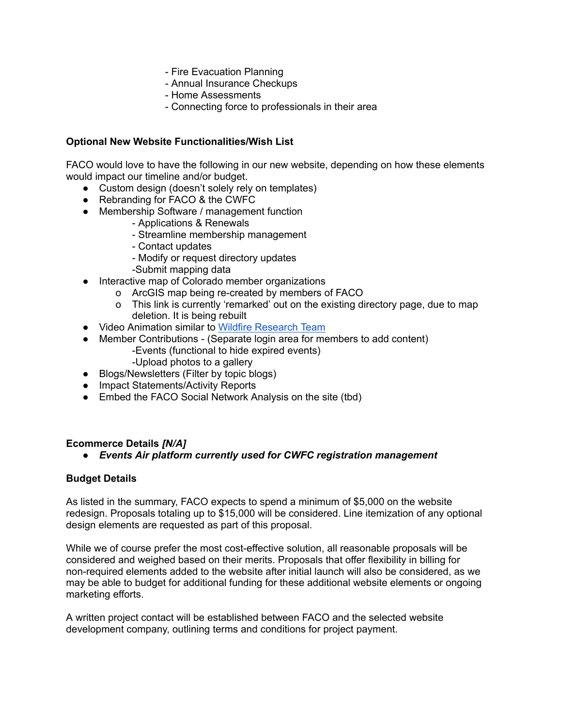- Fire Evacuation Planning
- Annual Insurance Checkups
- Home Assessments
- Connecting force to professionals in their area

#### **Optional New Website Functionalities/Wish List**

FACO would love to have the following in our new website, depending on how these elements would impact our timeline and/or budget.

- Custom design (doesn't solely rely on templates)
- Rebranding for FACO & the CWFC
- Membership Software / management function
	- Applications & Renewals
	- Streamline membership management
	- Contact updates
	- Modify or request directory updates
	- -Submit mapping data
- Interactive map of Colorado member organizations
	- o ArcGIS map being re-created by members of FACO
	- o This link is currently 'remarked' out on the existing directory page, due to map deletion. It is being rebuilt
- Video Animation similar to Wildfire [Research](https://www.youtube.com/watch?v=X2fYBOsk4Qg&t=115s) Team
- Member Contributions (Separate login area for members to add content) -Events (functional to hide expired events)
	- -Upload photos to a gallery
- Blogs/Newsletters (Filter by topic blogs)
- Impact Statements/Activity Reports
- Embed the FACO Social Network Analysis on the site (tbd)

#### **Ecommerce Details** *[N/A]*

*● Events Air platform currently used for CWFC registration management*

#### **Budget Details**

As listed in the summary, FACO expects to spend a minimum of \$5,000 on the website redesign. Proposals totaling up to \$15,000 will be considered. Line itemization of any optional design elements are requested as part of this proposal.

While we of course prefer the most cost-effective solution, all reasonable proposals will be considered and weighed based on their merits. Proposals that offer flexibility in billing for non-required elements added to the website after initial launch will also be considered, as we may be able to budget for additional funding for these additional website elements or ongoing marketing efforts.

A written project contact will be established between FACO and the selected website development company, outlining terms and conditions for project payment.